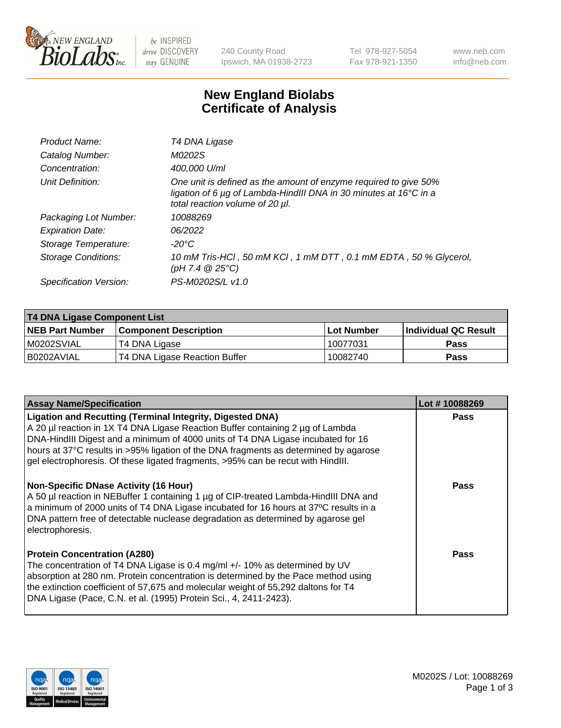

be INSPIRED drive DISCOVERY stay GENUINE

240 County Road Ipswich, MA 01938-2723 Tel 978-927-5054 Fax 978-921-1350 www.neb.com info@neb.com

## **New England Biolabs Certificate of Analysis**

| Product Name:              | T4 DNA Ligase                                                                                                                                                            |
|----------------------------|--------------------------------------------------------------------------------------------------------------------------------------------------------------------------|
| Catalog Number:            | M0202S                                                                                                                                                                   |
| Concentration:             | 400,000 U/ml                                                                                                                                                             |
| Unit Definition:           | One unit is defined as the amount of enzyme required to give 50%<br>ligation of 6 µg of Lambda-HindIII DNA in 30 minutes at 16°C in a<br>total reaction volume of 20 µl. |
| Packaging Lot Number:      | 10088269                                                                                                                                                                 |
| <b>Expiration Date:</b>    | 06/2022                                                                                                                                                                  |
| Storage Temperature:       | -20°C                                                                                                                                                                    |
| <b>Storage Conditions:</b> | 10 mM Tris-HCl, 50 mM KCl, 1 mM DTT, 0.1 mM EDTA, 50 % Glycerol,<br>(pH 7.4 $@25°C$ )                                                                                    |
| Specification Version:     | PS-M0202S/L v1.0                                                                                                                                                         |

| T4 DNA Ligase Component List |                               |              |                             |  |  |
|------------------------------|-------------------------------|--------------|-----------------------------|--|--|
| <b>NEB Part Number</b>       | <b>Component Description</b>  | l Lot Number | <b>Individual QC Result</b> |  |  |
| M0202SVIAL                   | T4 DNA Ligase                 | 10077031     | <b>Pass</b>                 |  |  |
| I B0202AVIAL                 | T4 DNA Ligase Reaction Buffer | 10082740     | <b>Pass</b>                 |  |  |

| <b>Assay Name/Specification</b>                                                                                                                                                                                                                                                                                                                                                                                    | Lot #10088269 |
|--------------------------------------------------------------------------------------------------------------------------------------------------------------------------------------------------------------------------------------------------------------------------------------------------------------------------------------------------------------------------------------------------------------------|---------------|
| <b>Ligation and Recutting (Terminal Integrity, Digested DNA)</b><br>A 20 µl reaction in 1X T4 DNA Ligase Reaction Buffer containing 2 µg of Lambda<br>DNA-HindIII Digest and a minimum of 4000 units of T4 DNA Ligase incubated for 16<br>hours at 37°C results in >95% ligation of the DNA fragments as determined by agarose<br>gel electrophoresis. Of these ligated fragments, >95% can be recut with HindIII. | <b>Pass</b>   |
| <b>Non-Specific DNase Activity (16 Hour)</b><br>A 50 µl reaction in NEBuffer 1 containing 1 µg of CIP-treated Lambda-HindIII DNA and<br>a minimum of 2000 units of T4 DNA Ligase incubated for 16 hours at 37°C results in a<br>DNA pattern free of detectable nuclease degradation as determined by agarose gel<br>electrophoresis.                                                                               | <b>Pass</b>   |
| <b>Protein Concentration (A280)</b><br>The concentration of T4 DNA Ligase is 0.4 mg/ml +/- 10% as determined by UV<br>absorption at 280 nm. Protein concentration is determined by the Pace method using<br>the extinction coefficient of 57,675 and molecular weight of 55,292 daltons for T4<br>DNA Ligase (Pace, C.N. et al. (1995) Protein Sci., 4, 2411-2423).                                                | Pass          |

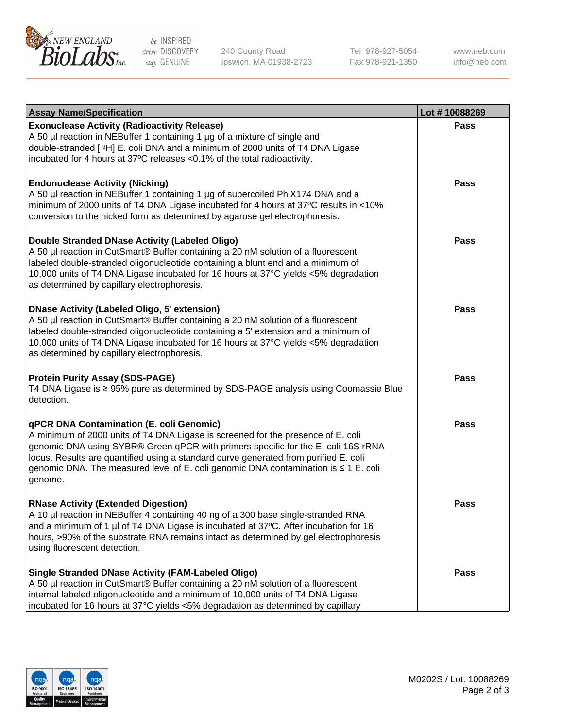

be INSPIRED drive DISCOVERY stay GENUINE

240 County Road Ipswich, MA 01938-2723 Tel 978-927-5054 Fax 978-921-1350

www.neb.com info@neb.com

| <b>Assay Name/Specification</b>                                                                                                                                                                                                                                                                                                                                                                             | Lot #10088269 |
|-------------------------------------------------------------------------------------------------------------------------------------------------------------------------------------------------------------------------------------------------------------------------------------------------------------------------------------------------------------------------------------------------------------|---------------|
| <b>Exonuclease Activity (Radioactivity Release)</b><br>A 50 µl reaction in NEBuffer 1 containing 1 µg of a mixture of single and<br>double-stranded [3H] E. coli DNA and a minimum of 2000 units of T4 DNA Ligase<br>incubated for 4 hours at 37°C releases <0.1% of the total radioactivity.                                                                                                               | <b>Pass</b>   |
| <b>Endonuclease Activity (Nicking)</b><br>A 50 µl reaction in NEBuffer 1 containing 1 µg of supercoiled PhiX174 DNA and a<br>minimum of 2000 units of T4 DNA Ligase incubated for 4 hours at 37°C results in <10%<br>conversion to the nicked form as determined by agarose gel electrophoresis.                                                                                                            | Pass          |
| Double Stranded DNase Activity (Labeled Oligo)<br>A 50 µl reaction in CutSmart® Buffer containing a 20 nM solution of a fluorescent<br>labeled double-stranded oligonucleotide containing a blunt end and a minimum of<br>10,000 units of T4 DNA Ligase incubated for 16 hours at 37°C yields <5% degradation<br>as determined by capillary electrophoresis.                                                | Pass          |
| <b>DNase Activity (Labeled Oligo, 5' extension)</b><br>A 50 µl reaction in CutSmart® Buffer containing a 20 nM solution of a fluorescent<br>labeled double-stranded oligonucleotide containing a 5' extension and a minimum of<br>10,000 units of T4 DNA Ligase incubated for 16 hours at 37°C yields <5% degradation<br>as determined by capillary electrophoresis.                                        | <b>Pass</b>   |
| <b>Protein Purity Assay (SDS-PAGE)</b><br>T4 DNA Ligase is ≥ 95% pure as determined by SDS-PAGE analysis using Coomassie Blue<br>detection.                                                                                                                                                                                                                                                                 | Pass          |
| qPCR DNA Contamination (E. coli Genomic)<br>A minimum of 2000 units of T4 DNA Ligase is screened for the presence of E. coli<br>genomic DNA using SYBR® Green qPCR with primers specific for the E. coli 16S rRNA<br>locus. Results are quantified using a standard curve generated from purified E. coli<br>genomic DNA. The measured level of E. coli genomic DNA contamination is ≤ 1 E. coli<br>genome. | <b>Pass</b>   |
| <b>RNase Activity (Extended Digestion)</b><br>A 10 µl reaction in NEBuffer 4 containing 40 ng of a 300 base single-stranded RNA<br>and a minimum of 1 µl of T4 DNA Ligase is incubated at 37°C. After incubation for 16<br>hours, >90% of the substrate RNA remains intact as determined by gel electrophoresis<br>using fluorescent detection.                                                             | Pass          |
| <b>Single Stranded DNase Activity (FAM-Labeled Oligo)</b><br>A 50 µl reaction in CutSmart® Buffer containing a 20 nM solution of a fluorescent<br>internal labeled oligonucleotide and a minimum of 10,000 units of T4 DNA Ligase<br>incubated for 16 hours at 37°C yields <5% degradation as determined by capillary                                                                                       | Pass          |